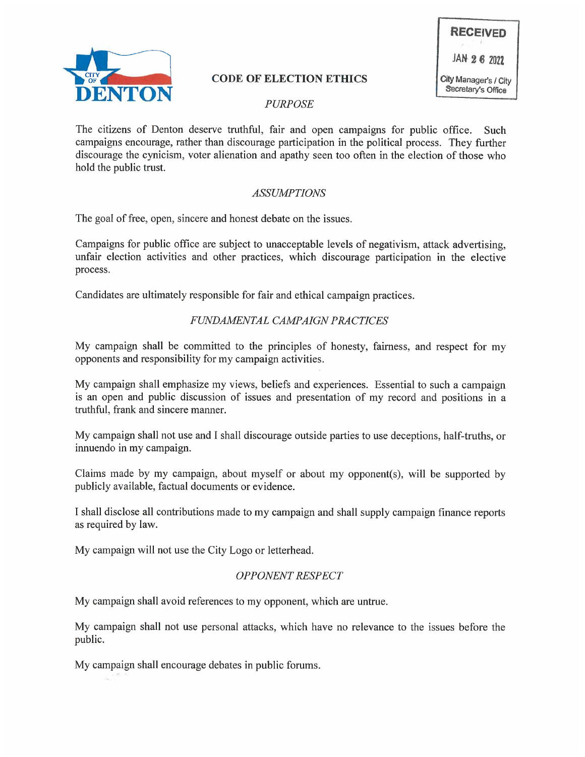

# CODE OF ELECTION ETHICS<br>PURPOSE

The citizens of Denton deserve truthful, fair and open campaigns for public office. Such campaigns encourage, rather than discourage participation in the political process. They further discourage the cynicism, voter alienation and apathy seen too often in the election of those who hold the public trust.

# ASSUMPTIONS

The goal of free, open, sincere and honest debate on the issues.

Campaigns for public office are subject to unacceptable levels of negativism, attack advertising, unfair election activities and other practices, which discourage participation in the elective process.

Candidates are ultimately responsible for fair and ethical campaign practices.

## FUNDAMENTAL CAMPAIGN PRACTICES

My campaign shall be committed to the principles of honesty, fairness, and respect for my opponents and responsibility for my campaign activities.

My campaign shall emphasize my views, beliefs and experiences. Essential to such a campaign is an open and public discussion of issues and presentation of my record and positions in a truthful, frank and sincere manner.

My campaign shall not use and I shall discourage outside parties to use deceptions, half-truths, or innuendo in my campaign.

Claims made by my campaign, about myself or about my opponent(s), will be supported by publicly available, factual documents or evidence.

I shall disclose all contributions made to my campaign and shall supply campaign finance reports as required by law.

My campaign will not use the City Logo or letterhead.

## OPPONENT RESPECT

My campaign shall avoid references to my opponent, which are untrue.

My campaign shall not use personal attacks, which have no relevance to the issues before the public.

My campaign shall encourage debates in public forums.